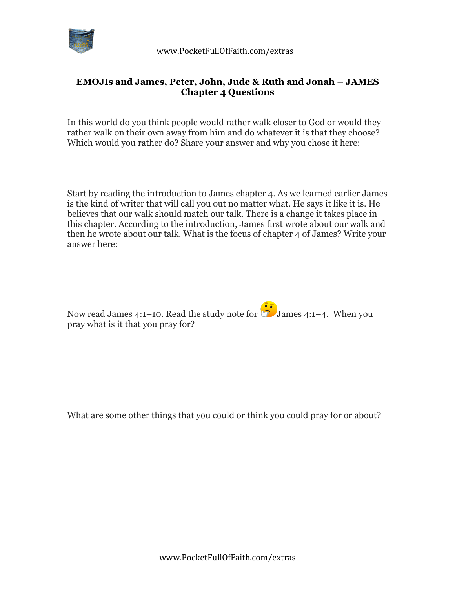

## **EMOJIs and James, Peter, John, Jude & Ruth and Jonah – JAMES Chapter 4 Questions**

In this world do you think people would rather walk closer to God or would they rather walk on their own away from him and do whatever it is that they choose? Which would you rather do? Share your answer and why you chose it here:

Start by reading the introduction to James chapter 4. As we learned earlier James is the kind of writer that will call you out no matter what. He says it like it is. He believes that our walk should match our talk. There is a change it takes place in this chapter. According to the introduction, James first wrote about our walk and then he wrote about our talk. What is the focus of chapter 4 of James? Write your answer here:

Now read James 4:1–10. Read the study note for **Solution** James 4:1–4. When you pray what is it that you pray for?

What are some other things that you could or think you could pray for or about?